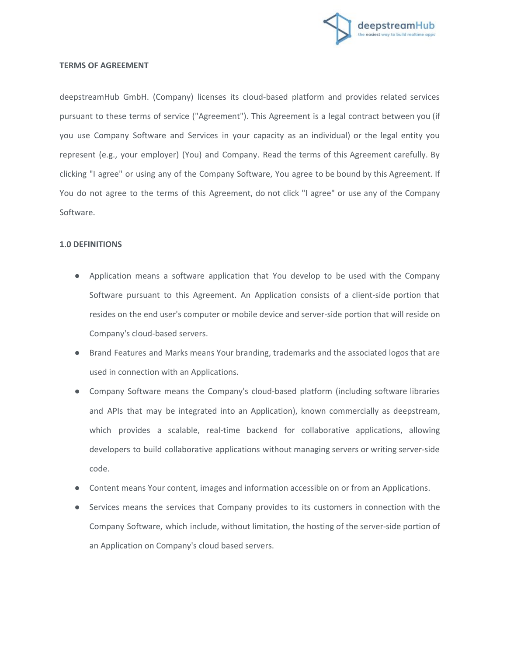

## **TERMS OF AGREEMENT**

deepstreamHub GmbH. (Company) licenses its cloud-based platform and provides related services pursuant to these terms of service ("Agreement"). This Agreement is a legal contract between you (if you use Company Software and Services in your capacity as an individual) or the legal entity you represent (e.g., your employer) (You) and Company. Read the terms of this Agreement carefully. By clicking "I agree" or using any of the Company Software, You agree to be bound by this Agreement. If You do not agree to the terms of this Agreement, do not click "I agree" or use any of the Company Software.

### **1.0 DEFINITIONS**

- Application means a software application that You develop to be used with the Company Software pursuant to this Agreement. An Application consists of a client-side portion that resides on the end user's computer or mobile device and server-side portion that will reside on Company's cloud-based servers.
- Brand Features and Marks means Your branding, trademarks and the associated logos that are used in connection with an Applications.
- Company Software means the Company's cloud-based platform (including software libraries and APIs that may be integrated into an Application), known commercially as deepstream, which provides a scalable, real-time backend for collaborative applications, allowing developers to build collaborative applications without managing servers or writing server-side code.
- Content means Your content, images and information accessible on or from an Applications.
- Services means the services that Company provides to its customers in connection with the Company Software, which include, without limitation, the hosting of the server-side portion of an Application on Company's cloud based servers.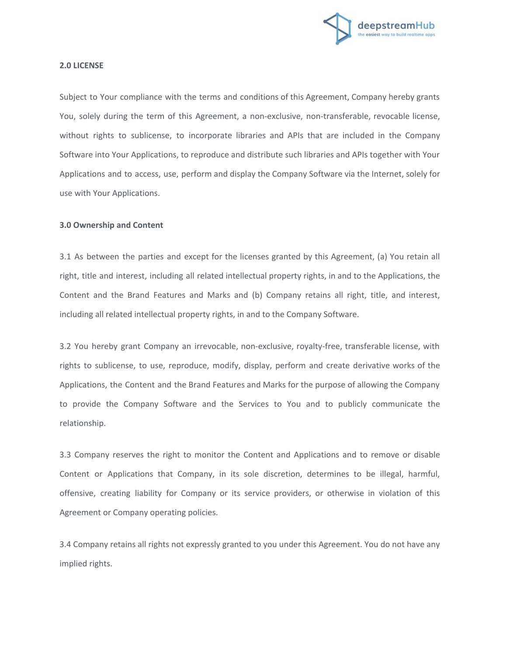

#### **2.0 LICENSE**

Subject to Your compliance with the terms and conditions of this Agreement, Company hereby grants You, solely during the term of this Agreement, a non-exclusive, non-transferable, revocable license, without rights to sublicense, to incorporate libraries and APIs that are included in the Company Software into Your Applications, to reproduce and distribute such libraries and APIs together with Your Applications and to access, use, perform and display the Company Software via the Internet, solely for use with Your Applications.

# **3.0 Ownership and Content**

3.1 As between the parties and except for the licenses granted by this Agreement, (a) You retain all right, title and interest, including all related intellectual property rights, in and to the Applications, the Content and the Brand Features and Marks and (b) Company retains all right, title, and interest, including all related intellectual property rights, in and to the Company Software.

3.2 You hereby grant Company an irrevocable, non-exclusive, royalty-free, transferable license, with rights to sublicense, to use, reproduce, modify, display, perform and create derivative works of the Applications, the Content and the Brand Features and Marks for the purpose of allowing the Company to provide the Company Software and the Services to You and to publicly communicate the relationship.

3.3 Company reserves the right to monitor the Content and Applications and to remove or disable Content or Applications that Company, in its sole discretion, determines to be illegal, harmful, offensive, creating liability for Company or its service providers, or otherwise in violation of this Agreement or Company operating policies.

3.4 Company retains all rights not expressly granted to you under this Agreement. You do not have any implied rights.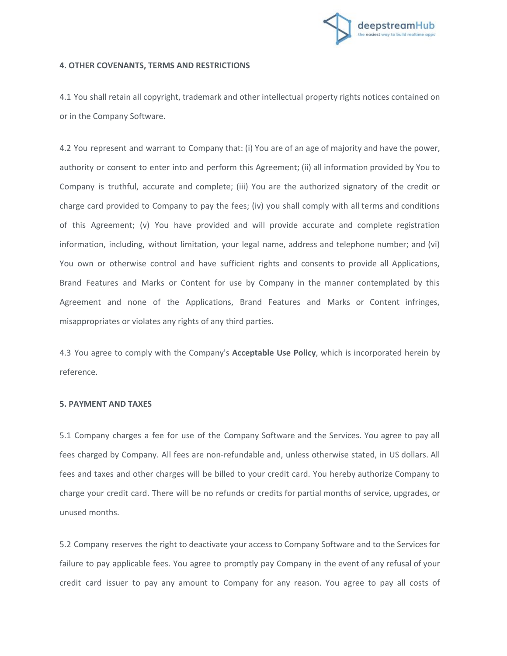

### **4. OTHER COVENANTS, TERMS AND RESTRICTIONS**

4.1 You shall retain all copyright, trademark and other intellectual property rights notices contained on or in the Company Software.

4.2 You represent and warrant to Company that: (i) You are of an age of majority and have the power, authority or consent to enter into and perform this Agreement; (ii) all information provided by You to Company is truthful, accurate and complete; (iii) You are the authorized signatory of the credit or charge card provided to Company to pay the fees; (iv) you shall comply with all terms and conditions of this Agreement; (v) You have provided and will provide accurate and complete registration information, including, without limitation, your legal name, address and telephone number; and (vi) You own or otherwise control and have sufficient rights and consents to provide all Applications, Brand Features and Marks or Content for use by Company in the manner contemplated by this Agreement and none of the Applications, Brand Features and Marks or Content infringes, misappropriates or violates any rights of any third parties.

4.3 You agree to comply with the Company's **Acceptable Use Policy**, which is incorporated herein by reference.

#### **5. PAYMENT AND TAXES**

5.1 Company charges a fee for use of the Company Software and the Services. You agree to pay all fees charged by Company. All fees are non-refundable and, unless otherwise stated, in US dollars. All fees and taxes and other charges will be billed to your credit card. You hereby authorize Company to charge your credit card. There will be no refunds or credits for partial months of service, upgrades, or unused months.

5.2 Company reserves the right to deactivate your access to Company Software and to the Services for failure to pay applicable fees. You agree to promptly pay Company in the event of any refusal of your credit card issuer to pay any amount to Company for any reason. You agree to pay all costs of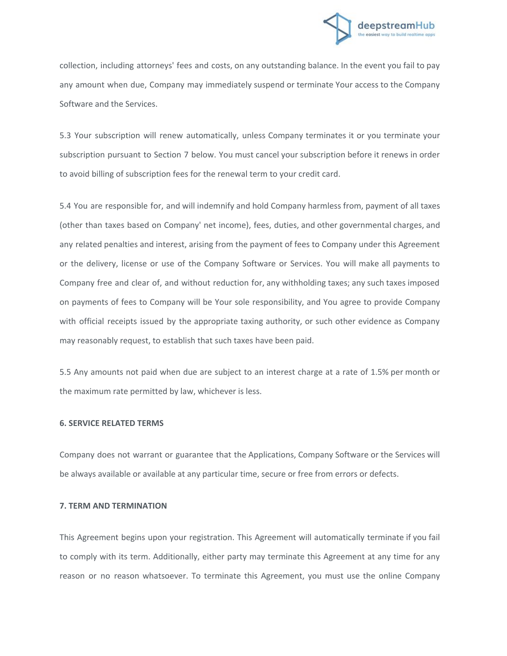

collection, including attorneys' fees and costs, on any outstanding balance. In the event you fail to pay any amount when due, Company may immediately suspend or terminate Your access to the Company Software and the Services.

5.3 Your subscription will renew automatically, unless Company terminates it or you terminate your subscription pursuant to Section 7 below. You must cancel your subscription before it renews in order to avoid billing of subscription fees for the renewal term to your credit card.

5.4 You are responsible for, and will indemnify and hold Company harmless from, payment of all taxes (other than taxes based on Company' net income), fees, duties, and other governmental charges, and any related penalties and interest, arising from the payment of fees to Company under this Agreement or the delivery, license or use of the Company Software or Services. You will make all payments to Company free and clear of, and without reduction for, any withholding taxes; any such taxes imposed on payments of fees to Company will be Your sole responsibility, and You agree to provide Company with official receipts issued by the appropriate taxing authority, or such other evidence as Company may reasonably request, to establish that such taxes have been paid.

5.5 Any amounts not paid when due are subject to an interest charge at a rate of 1.5% per month or the maximum rate permitted by law, whichever is less.

# **6. SERVICE RELATED TERMS**

Company does not warrant or guarantee that the Applications, Company Software or the Services will be always available or available at any particular time, secure or free from errors or defects.

### **7. TERM AND TERMINATION**

This Agreement begins upon your registration. This Agreement will automatically terminate if you fail to comply with its term. Additionally, either party may terminate this Agreement at any time for any reason or no reason whatsoever. To terminate this Agreement, you must use the online Company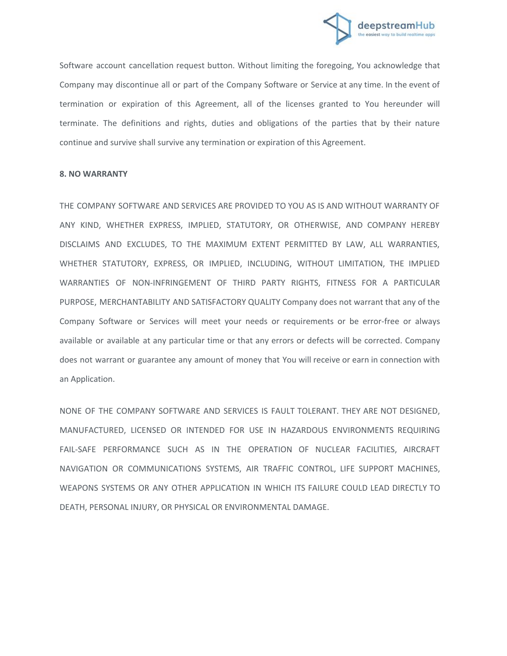

Software account cancellation request button. Without limiting the foregoing, You acknowledge that Company may discontinue all or part of the Company Software or Service at any time. In the event of termination or expiration of this Agreement, all of the licenses granted to You hereunder will terminate. The definitions and rights, duties and obligations of the parties that by their nature continue and survive shall survive any termination or expiration of this Agreement.

#### **8. NO WARRANTY**

THE COMPANY SOFTWARE AND SERVICES ARE PROVIDED TO YOU AS IS AND WITHOUT WARRANTY OF ANY KIND, WHETHER EXPRESS, IMPLIED, STATUTORY, OR OTHERWISE, AND COMPANY HEREBY DISCLAIMS AND EXCLUDES, TO THE MAXIMUM EXTENT PERMITTED BY LAW, ALL WARRANTIES, WHETHER STATUTORY, EXPRESS, OR IMPLIED, INCLUDING, WITHOUT LIMITATION, THE IMPLIED WARRANTIES OF NON-INFRINGEMENT OF THIRD PARTY RIGHTS, FITNESS FOR A PARTICULAR PURPOSE, MERCHANTABILITY AND SATISFACTORY QUALITY Company does not warrant that any of the Company Software or Services will meet your needs or requirements or be error-free or always available or available at any particular time or that any errors or defects will be corrected. Company does not warrant or guarantee any amount of money that You will receive or earn in connection with an Application.

NONE OF THE COMPANY SOFTWARE AND SERVICES IS FAULT TOLERANT. THEY ARE NOT DESIGNED, MANUFACTURED, LICENSED OR INTENDED FOR USE IN HAZARDOUS ENVIRONMENTS REQUIRING FAIL-SAFE PERFORMANCE SUCH AS IN THE OPERATION OF NUCLEAR FACILITIES, AIRCRAFT NAVIGATION OR COMMUNICATIONS SYSTEMS, AIR TRAFFIC CONTROL, LIFE SUPPORT MACHINES, WEAPONS SYSTEMS OR ANY OTHER APPLICATION IN WHICH ITS FAILURE COULD LEAD DIRECTLY TO DEATH, PERSONAL INJURY, OR PHYSICAL OR ENVIRONMENTAL DAMAGE.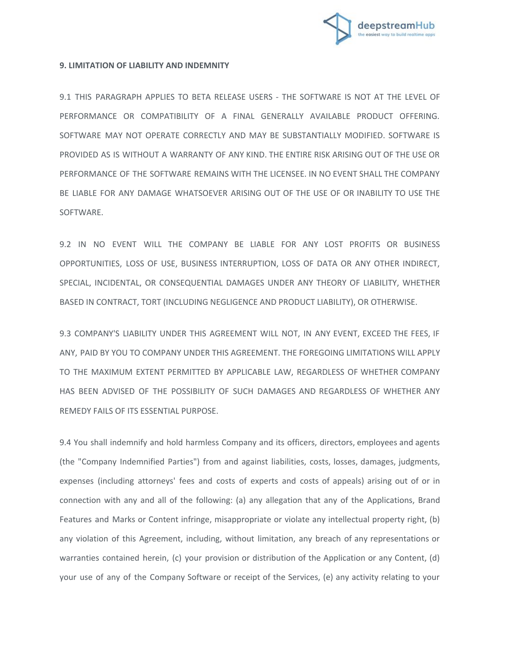

## **9. LIMITATION OF LIABILITY AND INDEMNITY**

9.1 THIS PARAGRAPH APPLIES TO BETA RELEASE USERS - THE SOFTWARE IS NOT AT THE LEVEL OF PERFORMANCE OR COMPATIBILITY OF A FINAL GENERALLY AVAILABLE PRODUCT OFFERING. SOFTWARE MAY NOT OPERATE CORRECTLY AND MAY BE SUBSTANTIALLY MODIFIED. SOFTWARE IS PROVIDED AS IS WITHOUT A WARRANTY OF ANY KIND. THE ENTIRE RISK ARISING OUT OF THE USE OR PERFORMANCE OF THE SOFTWARE REMAINS WITH THE LICENSEE. IN NO EVENT SHALL THE COMPANY BE LIABLE FOR ANY DAMAGE WHATSOEVER ARISING OUT OF THE USE OF OR INABILITY TO USE THE SOFTWARE.

9.2 IN NO EVENT WILL THE COMPANY BE LIABLE FOR ANY LOST PROFITS OR BUSINESS OPPORTUNITIES, LOSS OF USE, BUSINESS INTERRUPTION, LOSS OF DATA OR ANY OTHER INDIRECT, SPECIAL, INCIDENTAL, OR CONSEQUENTIAL DAMAGES UNDER ANY THEORY OF LIABILITY, WHETHER BASED IN CONTRACT, TORT (INCLUDING NEGLIGENCE AND PRODUCT LIABILITY), OR OTHERWISE.

9.3 COMPANY'S LIABILITY UNDER THIS AGREEMENT WILL NOT, IN ANY EVENT, EXCEED THE FEES, IF ANY, PAID BY YOU TO COMPANY UNDER THIS AGREEMENT. THE FOREGOING LIMITATIONS WILL APPLY TO THE MAXIMUM EXTENT PERMITTED BY APPLICABLE LAW, REGARDLESS OF WHETHER COMPANY HAS BEEN ADVISED OF THE POSSIBILITY OF SUCH DAMAGES AND REGARDLESS OF WHETHER ANY REMEDY FAILS OF ITS ESSENTIAL PURPOSE.

9.4 You shall indemnify and hold harmless Company and its officers, directors, employees and agents (the "Company Indemnified Parties") from and against liabilities, costs, losses, damages, judgments, expenses (including attorneys' fees and costs of experts and costs of appeals) arising out of or in connection with any and all of the following: (a) any allegation that any of the Applications, Brand Features and Marks or Content infringe, misappropriate or violate any intellectual property right, (b) any violation of this Agreement, including, without limitation, any breach of any representations or warranties contained herein, (c) your provision or distribution of the Application or any Content, (d) your use of any of the Company Software or receipt of the Services, (e) any activity relating to your